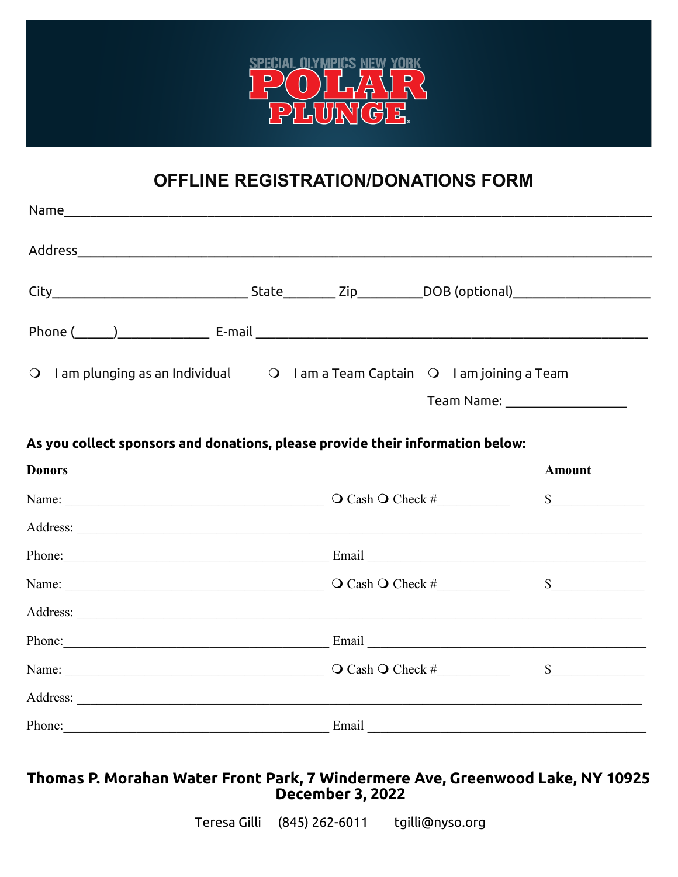

## OFFLINE REGISTRATION/DONATIONS FORM

| O I am plunging as an Individual O I am a Team Captain O I am joining a Team                                                                                                                                                   |  |                                |
|--------------------------------------------------------------------------------------------------------------------------------------------------------------------------------------------------------------------------------|--|--------------------------------|
|                                                                                                                                                                                                                                |  | Team Name: ___________________ |
| As you collect sponsors and donations, please provide their information below:                                                                                                                                                 |  |                                |
| <b>Donors</b>                                                                                                                                                                                                                  |  | <b>Amount</b>                  |
|                                                                                                                                                                                                                                |  | $\frac{\text{S}}{\text{S}}$    |
|                                                                                                                                                                                                                                |  |                                |
| Phone: Email Email Email Email Email Email Email Email Email Email Email Email Email Email Email Email Email Email Email Email Email Email Email Email Email Email Email Email Email Email Email Email Email Email Email Email |  |                                |
|                                                                                                                                                                                                                                |  | $\frac{\text{S}}{\text{S}}$    |
| Address: <u>New York: Address:</u> New York: 1997                                                                                                                                                                              |  |                                |
| Phone: Email Email Email Email Email Email Email Email Email Email Email Email Email Email Email Email Email Email Email Email Email Email Email Email Email Email Email Email Email Email Email Email Email Email Email Email |  |                                |
|                                                                                                                                                                                                                                |  | $\frac{\text{S}}{\text{S}}$    |
|                                                                                                                                                                                                                                |  |                                |
| Phone: Email Email Email Email Email Email Email Email Email Email Email Email Email Email Email Email Email Email Email Email Email Email Email Email Email Email Email Email Email Email Email Email Email Email Email Email |  |                                |

## Thomas P. Morahan Water Front Park, 7 Windermere Ave, Greenwood Lake, NY 10925<br>December 3, 2022

Teresa Gilli (845) 262-6011 tgilli@nyso.org